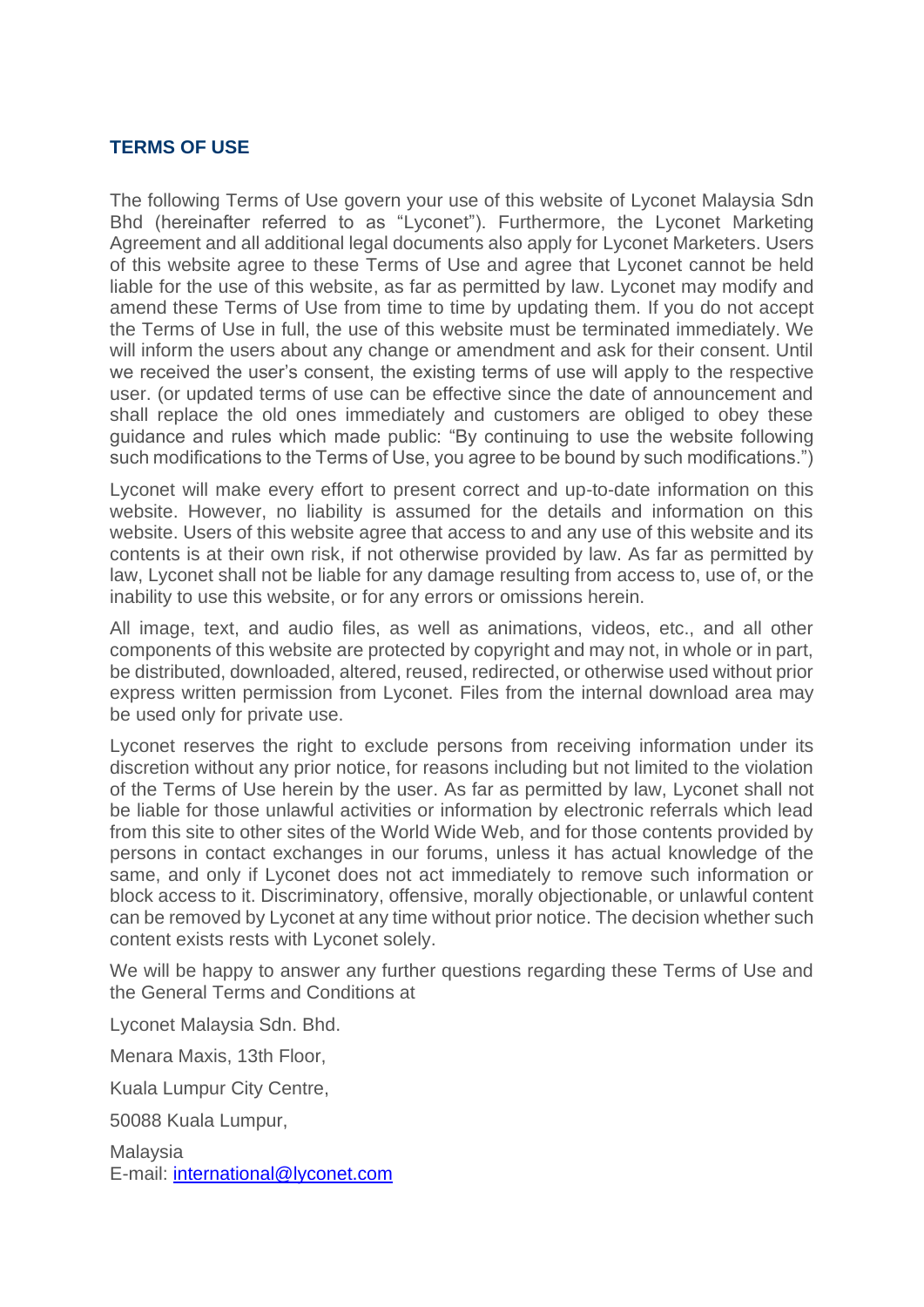## **TERMS OF USE**

The following Terms of Use govern your use of this website of Lyconet Malaysia Sdn Bhd (hereinafter referred to as "Lyconet"). Furthermore, the Lyconet Marketing Agreement and all additional legal documents also apply for Lyconet Marketers. Users of this website agree to these Terms of Use and agree that Lyconet cannot be held liable for the use of this website, as far as permitted by law. Lyconet may modify and amend these Terms of Use from time to time by updating them. If you do not accept the Terms of Use in full, the use of this website must be terminated immediately. We will inform the users about any change or amendment and ask for their consent. Until we received the user's consent, the existing terms of use will apply to the respective user. (or updated terms of use can be effective since the date of announcement and shall replace the old ones immediately and customers are obliged to obey these guidance and rules which made public: "By continuing to use the website following such modifications to the Terms of Use, you agree to be bound by such modifications.")

Lyconet will make every effort to present correct and up-to-date information on this website. However, no liability is assumed for the details and information on this website. Users of this website agree that access to and any use of this website and its contents is at their own risk, if not otherwise provided by law. As far as permitted by law, Lyconet shall not be liable for any damage resulting from access to, use of, or the inability to use this website, or for any errors or omissions herein.

All image, text, and audio files, as well as animations, videos, etc., and all other components of this website are protected by copyright and may not, in whole or in part, be distributed, downloaded, altered, reused, redirected, or otherwise used without prior express written permission from Lyconet. Files from the internal download area may be used only for private use.

Lyconet reserves the right to exclude persons from receiving information under its discretion without any prior notice, for reasons including but not limited to the violation of the Terms of Use herein by the user. As far as permitted by law, Lyconet shall not be liable for those unlawful activities or information by electronic referrals which lead from this site to other sites of the World Wide Web, and for those contents provided by persons in contact exchanges in our forums, unless it has actual knowledge of the same, and only if Lyconet does not act immediately to remove such information or block access to it. Discriminatory, offensive, morally objectionable, or unlawful content can be removed by Lyconet at any time without prior notice. The decision whether such content exists rests with Lyconet solely.

We will be happy to answer any further questions regarding these Terms of Use and the General Terms and Conditions at

Lyconet Malaysia Sdn. Bhd.

Menara Maxis, 13th Floor,

Kuala Lumpur City Centre,

50088 Kuala Lumpur,

Malaysia E-mail: [international@lyconet.com](mailto:international@lyconet.com)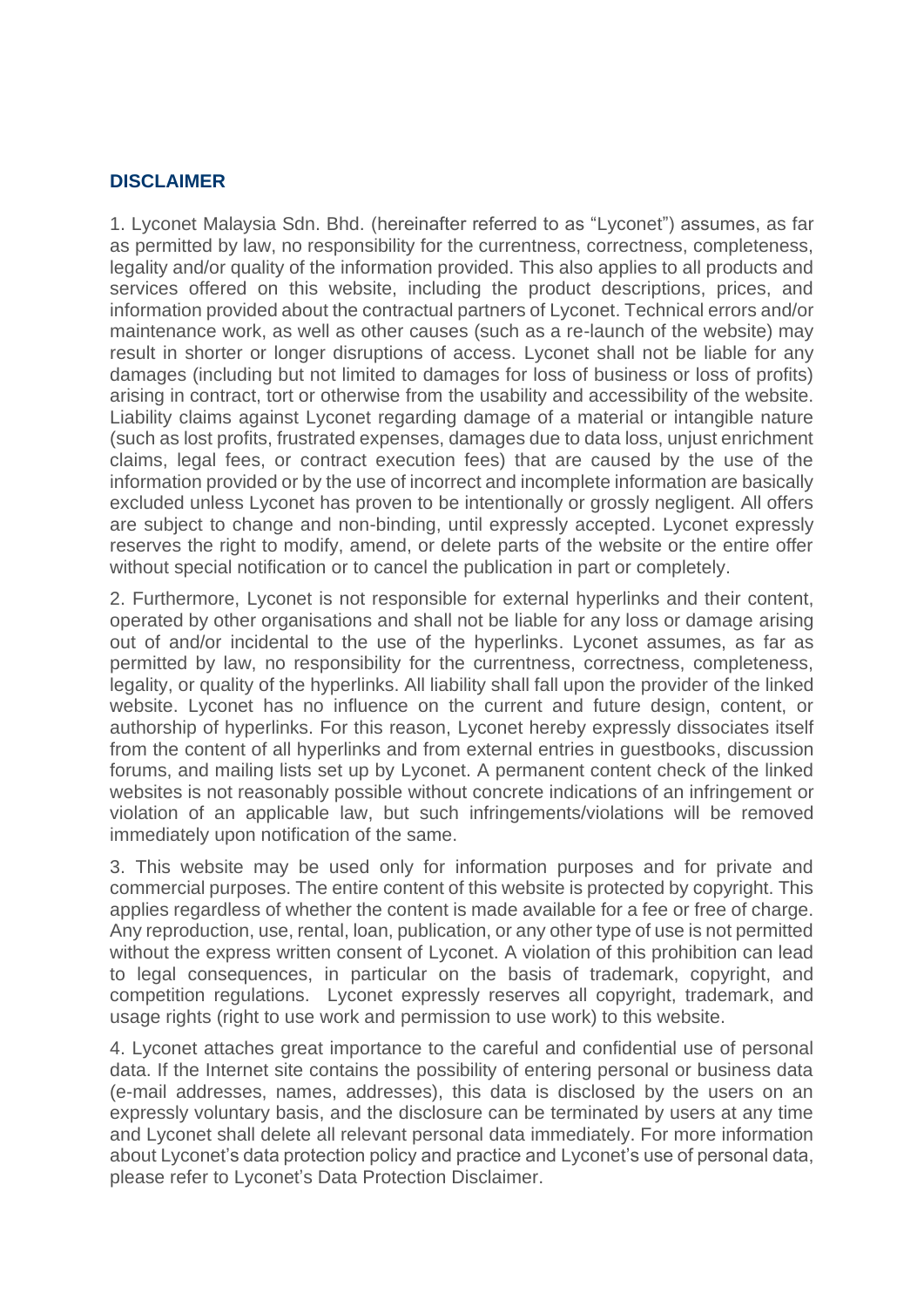## **DISCLAIMER**

1. Lyconet Malaysia Sdn. Bhd. (hereinafter referred to as "Lyconet") assumes, as far as permitted by law, no responsibility for the currentness, correctness, completeness, legality and/or quality of the information provided. This also applies to all products and services offered on this website, including the product descriptions, prices, and information provided about the contractual partners of Lyconet. Technical errors and/or maintenance work, as well as other causes (such as a re-launch of the website) may result in shorter or longer disruptions of access. Lyconet shall not be liable for any damages (including but not limited to damages for loss of business or loss of profits) arising in contract, tort or otherwise from the usability and accessibility of the website. Liability claims against Lyconet regarding damage of a material or intangible nature (such as lost profits, frustrated expenses, damages due to data loss, unjust enrichment claims, legal fees, or contract execution fees) that are caused by the use of the information provided or by the use of incorrect and incomplete information are basically excluded unless Lyconet has proven to be intentionally or grossly negligent. All offers are subject to change and non-binding, until expressly accepted. Lyconet expressly reserves the right to modify, amend, or delete parts of the website or the entire offer without special notification or to cancel the publication in part or completely.

2. Furthermore, Lyconet is not responsible for external hyperlinks and their content, operated by other organisations and shall not be liable for any loss or damage arising out of and/or incidental to the use of the hyperlinks. Lyconet assumes, as far as permitted by law, no responsibility for the currentness, correctness, completeness, legality, or quality of the hyperlinks. All liability shall fall upon the provider of the linked website. Lyconet has no influence on the current and future design, content, or authorship of hyperlinks. For this reason, Lyconet hereby expressly dissociates itself from the content of all hyperlinks and from external entries in guestbooks, discussion forums, and mailing lists set up by Lyconet. A permanent content check of the linked websites is not reasonably possible without concrete indications of an infringement or violation of an applicable law, but such infringements/violations will be removed immediately upon notification of the same.

3. This website may be used only for information purposes and for private and commercial purposes. The entire content of this website is protected by copyright. This applies regardless of whether the content is made available for a fee or free of charge. Any reproduction, use, rental, loan, publication, or any other type of use is not permitted without the express written consent of Lyconet. A violation of this prohibition can lead to legal consequences, in particular on the basis of trademark, copyright, and competition regulations. Lyconet expressly reserves all copyright, trademark, and usage rights (right to use work and permission to use work) to this website.

4. Lyconet attaches great importance to the careful and confidential use of personal data. If the Internet site contains the possibility of entering personal or business data (e-mail addresses, names, addresses), this data is disclosed by the users on an expressly voluntary basis, and the disclosure can be terminated by users at any time and Lyconet shall delete all relevant personal data immediately. For more information about Lyconet's data protection policy and practice and Lyconet's use of personal data, please refer to Lyconet's Data Protection Disclaimer.